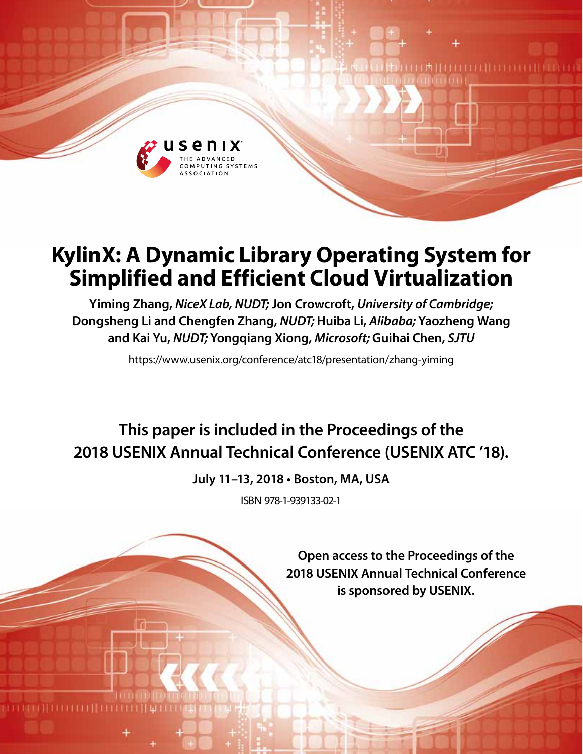

# **KylinX: A Dynamic Library Operating System for Simplified and Efficient Cloud Virtualization**

**Yiming Zhang,** *NiceX Lab, NUDT;* **Jon Crowcroft,** *University of Cambridge;* **Dongsheng Li and Chengfen Zhang,** *NUDT;* **Huiba Li,** *Alibaba;* **Yaozheng Wang and Kai Yu,** *NUDT;* **Yongqiang Xiong,** *Microsoft;* **Guihai Chen,** *SJTU*

https://www.usenix.org/conference/atc18/presentation/zhang-yiming

# **This paper is included in the Proceedings of the 2018 USENIX Annual Technical Conference (USENIX ATC '18).**

**July 11–13, 2018 • Boston, MA, USA**

ISBN 978-1-939133-02-1

**Open access to the Proceedings of the 2018 USENIX Annual Technical Conference is sponsored by USENIX.**

I MILI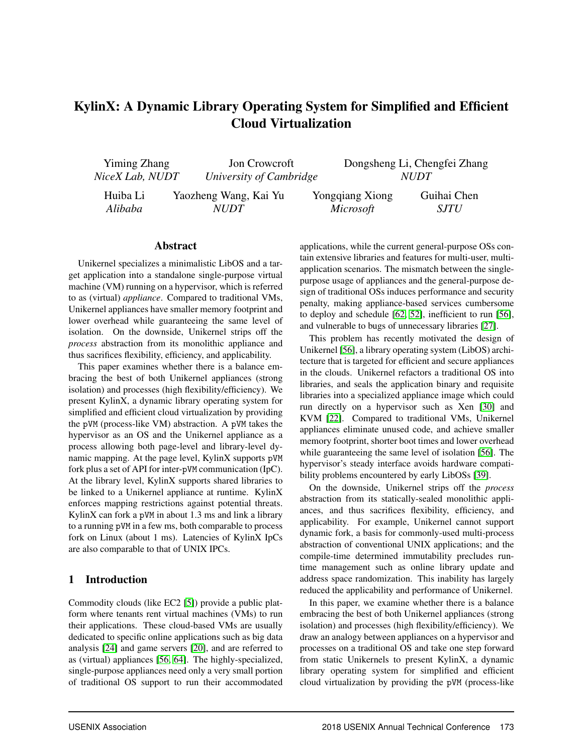# KylinX: A Dynamic Library Operating System for Simplified and Efficient Cloud Virtualization

| Yiming Zhang    | Jon Crowcroft           |                  | Dongsheng Li, Chengfei Zhang |  |
|-----------------|-------------------------|------------------|------------------------------|--|
| NiceX Lab, NUDT | University of Cambridge |                  | <i>NUDT</i>                  |  |
| Huiba Li        | Yaozheng Wang, Kai Yu   | Yongqiang Xiong  | Guihai Chen                  |  |
| Alibaba         | NUDT                    | <i>Microsoft</i> | <i>SJTU</i>                  |  |

#### Abstract

Unikernel specializes a minimalistic LibOS and a target application into a standalone single-purpose virtual machine (VM) running on a hypervisor, which is referred to as (virtual) *appliance*. Compared to traditional VMs, Unikernel appliances have smaller memory footprint and lower overhead while guaranteeing the same level of isolation. On the downside, Unikernel strips off the *process* abstraction from its monolithic appliance and thus sacrifices flexibility, efficiency, and applicability.

This paper examines whether there is a balance embracing the best of both Unikernel appliances (strong isolation) and processes (high flexibility/efficiency). We present KylinX, a dynamic library operating system for simplified and efficient cloud virtualization by providing the pVM (process-like VM) abstraction. A pVM takes the hypervisor as an OS and the Unikernel appliance as a process allowing both page-level and library-level dynamic mapping. At the page level, KylinX supports pVM fork plus a set of API for inter-pVM communication (IpC). At the library level, KylinX supports shared libraries to be linked to a Unikernel appliance at runtime. KylinX enforces mapping restrictions against potential threats. KylinX can fork a pVM in about 1.3 ms and link a library to a running pVM in a few ms, both comparable to process fork on Linux (about 1 ms). Latencies of KylinX IpCs are also comparable to that of UNIX IPCs.

#### 1 Introduction

Commodity clouds (like EC2 [5]) provide a public platform where tenants rent virtual machines (VMs) to run their applications. These cloud-based VMs are usually dedicated to specific online applications such as big data analysis [24] and game servers [20], and are referred to as (virtual) appliances [56, 64]. The highly-specialized, single-purpose appliances need only a very small portion of traditional OS support to run their accommodated applications, while the current general-purpose OSs contain extensive libraries and features for multi-user, multiapplication scenarios. The mismatch between the singlepurpose usage of appliances and the general-purpose design of traditional OSs induces performance and security penalty, making appliance-based services cumbersome to deploy and schedule [62, 52], inefficient to run [56], and vulnerable to bugs of unnecessary libraries [27].

This problem has recently motivated the design of Unikernel [56], a library operating system (LibOS) architecture that is targeted for efficient and secure appliances in the clouds. Unikernel refactors a traditional OS into libraries, and seals the application binary and requisite libraries into a specialized appliance image which could run directly on a hypervisor such as Xen [30] and KVM [22]. Compared to traditional VMs, Unikernel appliances eliminate unused code, and achieve smaller memory footprint, shorter boot times and lower overhead while guaranteeing the same level of isolation [56]. The hypervisor's steady interface avoids hardware compatibility problems encountered by early LibOSs [39].

On the downside, Unikernel strips off the *process* abstraction from its statically-sealed monolithic appliances, and thus sacrifices flexibility, efficiency, and applicability. For example, Unikernel cannot support dynamic fork, a basis for commonly-used multi-process abstraction of conventional UNIX applications; and the compile-time determined immutability precludes runtime management such as online library update and address space randomization. This inability has largely reduced the applicability and performance of Unikernel.

In this paper, we examine whether there is a balance embracing the best of both Unikernel appliances (strong isolation) and processes (high flexibility/efficiency). We draw an analogy between appliances on a hypervisor and processes on a traditional OS and take one step forward from static Unikernels to present KylinX, a dynamic library operating system for simplified and efficient cloud virtualization by providing the pVM (process-like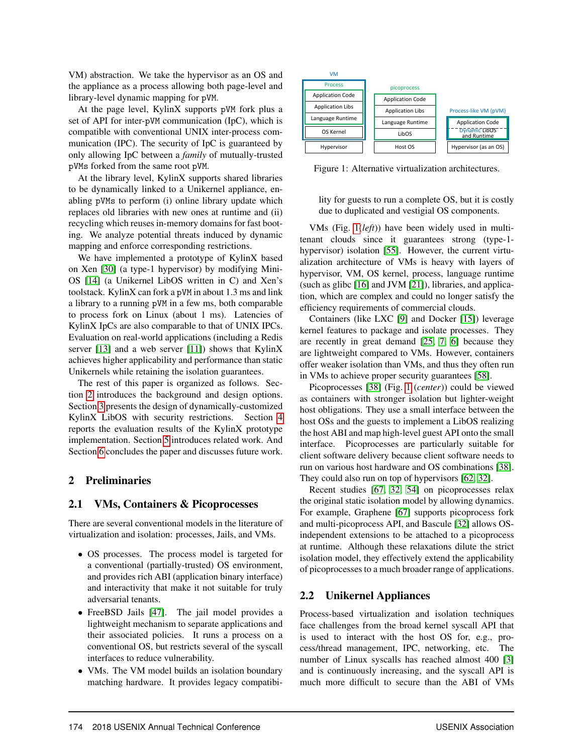VM) abstraction. We take the hypervisor as an OS and the appliance as a process allowing both page-level and library-level dynamic mapping for pVM.

At the page level, KylinX supports pVM fork plus a set of API for inter-pVM communication (IpC), which is compatible with conventional UNIX inter-process communication (IPC). The security of IpC is guaranteed by only allowing IpC between a *family* of mutually-trusted pVMs forked from the same root pVM.

At the library level, KylinX supports shared libraries to be dynamically linked to a Unikernel appliance, enabling pVMs to perform (i) online library update which replaces old libraries with new ones at runtime and (ii) recycling which reuses in-memory domains for fast booting. We analyze potential threats induced by dynamic mapping and enforce corresponding restrictions.

We have implemented a prototype of KylinX based on Xen [30] (a type-1 hypervisor) by modifying Mini-OS [14] (a Unikernel LibOS written in C) and Xen's toolstack. KylinX can fork a pVM in about 1.3 ms and link a library to a running pVM in a few ms, both comparable to process fork on Linux (about 1 ms). Latencies of KylinX IpCs are also comparable to that of UNIX IPCs. Evaluation on real-world applications (including a Redis server  $[13]$  and a web server  $[11]$ ) shows that KylinX achieves higher applicability and performance than static Unikernels while retaining the isolation guarantees.

The rest of this paper is organized as follows. Section 2 introduces the background and design options. Section 3 presents the design of dynamically-customized KylinX LibOS with security restrictions. Section 4 reports the evaluation results of the KylinX prototype implementation. Section 5 introduces related work. And Section 6 concludes the paper and discusses future work.

## 2 Preliminaries

## 2.1 VMs, Containers & Picoprocesses

There are several conventional models in the literature of virtualization and isolation: processes, Jails, and VMs.

- OS processes. The process model is targeted for a conventional (partially-trusted) OS environment, and provides rich ABI (application binary interface) and interactivity that make it not suitable for truly adversarial tenants.
- FreeBSD Jails [47]. The jail model provides a lightweight mechanism to separate applications and their associated policies. It runs a process on a conventional OS, but restricts several of the syscall interfaces to reduce vulnerability.
- VMs. The VM model builds an isolation boundary matching hardware. It provides legacy compatibi-



Figure 1: Alternative virtualization architectures.

lity for guests to run a complete OS, but it is costly due to duplicated and vestigial OS components.

VMs (Fig. 1(*left*)) have been widely used in multitenant clouds since it guarantees strong (type-1 hypervisor) isolation [55]. However, the current virtualization architecture of VMs is heavy with layers of hypervisor, VM, OS kernel, process, language runtime (such as glibc [16] and JVM [21]), libraries, and application, which are complex and could no longer satisfy the efficiency requirements of commercial clouds.

Containers (like LXC [9] and Docker [15]) leverage kernel features to package and isolate processes. They are recently in great demand [25, 7, 6] because they are lightweight compared to VMs. However, containers offer weaker isolation than VMs, and thus they often run in VMs to achieve proper security guarantees [58].

Picoprocesses [38] (Fig. 1 (*center*)) could be viewed as containers with stronger isolation but lighter-weight host obligations. They use a small interface between the host OSs and the guests to implement a LibOS realizing the host ABI and map high-level guest API onto the small interface. Picoprocesses are particularly suitable for client software delivery because client software needs to run on various host hardware and OS combinations [38]. They could also run on top of hypervisors [62, 32].

Recent studies [67, 32, 54] on picoprocesses relax the original static isolation model by allowing dynamics. For example, Graphene [67] supports picoprocess fork and multi-picoprocess API, and Bascule [32] allows OSindependent extensions to be attached to a picoprocess at runtime. Although these relaxations dilute the strict isolation model, they effectively extend the applicability of picoprocesses to a much broader range of applications.

## 2.2 Unikernel Appliances

Process-based virtualization and isolation techniques face challenges from the broad kernel syscall API that is used to interact with the host OS for, e.g., process/thread management, IPC, networking, etc. The number of Linux syscalls has reached almost 400 [3] and is continuously increasing, and the syscall API is much more difficult to secure than the ABI of VMs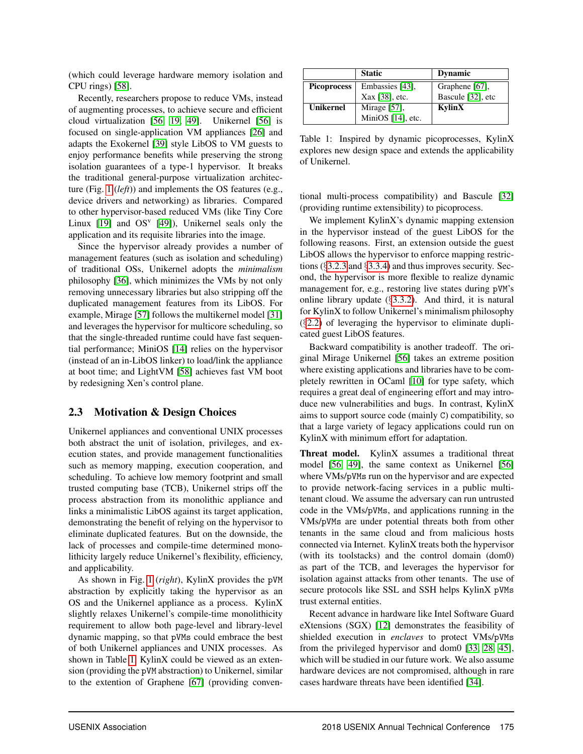(which could leverage hardware memory isolation and CPU rings) [58].

Recently, researchers propose to reduce VMs, instead of augmenting processes, to achieve secure and efficient cloud virtualization [56, 19, 49]. Unikernel [56] is focused on single-application VM appliances [26] and adapts the Exokernel [39] style LibOS to VM guests to enjoy performance benefits while preserving the strong isolation guarantees of a type-1 hypervisor. It breaks the traditional general-purpose virtualization architecture (Fig. 1 (*left*)) and implements the OS features (e.g., device drivers and networking) as libraries. Compared to other hypervisor-based reduced VMs (like Tiny Core Linux  $[19]$  and  $OS<sup>v</sup>$   $[49]$ ), Unikernel seals only the application and its requisite libraries into the image.

Since the hypervisor already provides a number of management features (such as isolation and scheduling) of traditional OSs, Unikernel adopts the *minimalism* philosophy [36], which minimizes the VMs by not only removing unnecessary libraries but also stripping off the duplicated management features from its LibOS. For example, Mirage [57] follows the multikernel model [31] and leverages the hypervisor for multicore scheduling, so that the single-threaded runtime could have fast sequential performance; MiniOS [14] relies on the hypervisor (instead of an in-LibOS linker) to load/link the appliance at boot time; and LightVM [58] achieves fast VM boot by redesigning Xen's control plane.

## 2.3 Motivation & Design Choices

Unikernel appliances and conventional UNIX processes both abstract the unit of isolation, privileges, and execution states, and provide management functionalities such as memory mapping, execution cooperation, and scheduling. To achieve low memory footprint and small trusted computing base (TCB), Unikernel strips off the process abstraction from its monolithic appliance and links a minimalistic LibOS against its target application, demonstrating the benefit of relying on the hypervisor to eliminate duplicated features. But on the downside, the lack of processes and compile-time determined monolithicity largely reduce Unikernel's flexibility, efficiency, and applicability.

As shown in Fig. 1 (*right*), KylinX provides the pVM abstraction by explicitly taking the hypervisor as an OS and the Unikernel appliance as a process. KylinX slightly relaxes Unikernel's compile-time monolithicity requirement to allow both page-level and library-level dynamic mapping, so that pVMs could embrace the best of both Unikernel appliances and UNIX processes. As shown in Table 1, KylinX could be viewed as an extension (providing the pVM abstraction) to Unikernel, similar to the extention of Graphene [67] (providing conven-

|                    | <b>Static</b>     | <b>Dynamic</b>    |  |
|--------------------|-------------------|-------------------|--|
| <b>Picoprocess</b> | Embassies [43].   | Graphene [67],    |  |
|                    | Xax [38], etc.    | Bascule [32], etc |  |
| <b>Unikernel</b>   | Mirage $[57]$ ,   | KylinX            |  |
|                    | MiniOS [14], etc. |                   |  |

Table 1: Inspired by dynamic picoprocesses, KylinX explores new design space and extends the applicability of Unikernel.

tional multi-process compatibility) and Bascule [32] (providing runtime extensibility) to picoprocess.

We implement KylinX's dynamic mapping extension in the hypervisor instead of the guest LibOS for the following reasons. First, an extension outside the guest LibOS allows the hypervisor to enforce mapping restrictions (§3.2.3 and §3.3.4) and thus improves security. Second, the hypervisor is more flexible to realize dynamic management for, e.g., restoring live states during pVM's online library update (§3.3.2). And third, it is natural for KylinX to follow Unikernel's minimalism philosophy (§2.2) of leveraging the hypervisor to eliminate duplicated guest LibOS features.

Backward compatibility is another tradeoff. The original Mirage Unikernel [56] takes an extreme position where existing applications and libraries have to be completely rewritten in OCaml [10] for type safety, which requires a great deal of engineering effort and may introduce new vulnerabilities and bugs. In contrast, KylinX aims to support source code (mainly C) compatibility, so that a large variety of legacy applications could run on KylinX with minimum effort for adaptation.

Threat model. KylinX assumes a traditional threat model [56, 49], the same context as Unikernel [56] where VMs/pVMs run on the hypervisor and are expected to provide network-facing services in a public multitenant cloud. We assume the adversary can run untrusted code in the VMs/pVMs, and applications running in the VMs/pVMs are under potential threats both from other tenants in the same cloud and from malicious hosts connected via Internet. KylinX treats both the hypervisor (with its toolstacks) and the control domain (dom0) as part of the TCB, and leverages the hypervisor for isolation against attacks from other tenants. The use of secure protocols like SSL and SSH helps KylinX pVMs trust external entities.

Recent advance in hardware like Intel Software Guard eXtensions (SGX) [12] demonstrates the feasibility of shielded execution in *enclaves* to protect VMs/pVMs from the privileged hypervisor and dom0 [33, 28, 45], which will be studied in our future work. We also assume hardware devices are not compromised, although in rare cases hardware threats have been identified [34].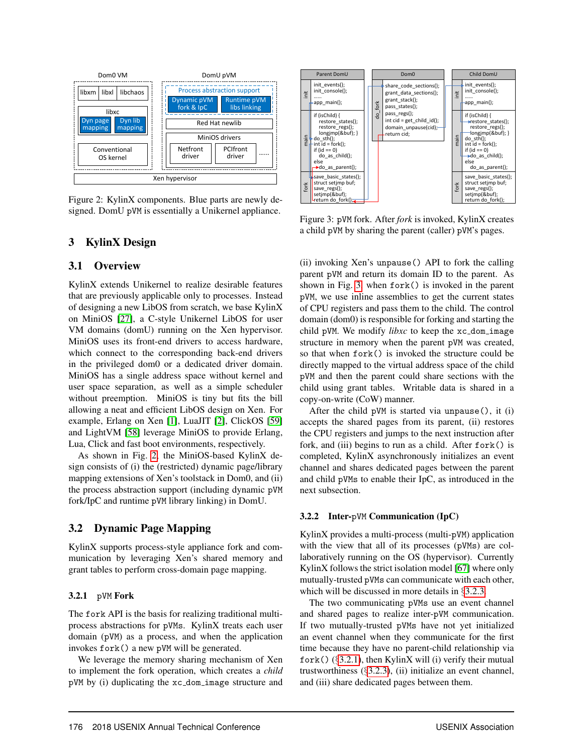

Figure 2: KylinX components. Blue parts are newly designed. DomU pVM is essentially a Unikernel appliance.

## 3 KylinX Design

#### 3.1 Overview

KylinX extends Unikernel to realize desirable features that are previously applicable only to processes. Instead of designing a new LibOS from scratch, we base KylinX on MiniOS [27], a C-style Unikernel LibOS for user VM domains (domU) running on the Xen hypervisor. MiniOS uses its front-end drivers to access hardware, which connect to the corresponding back-end drivers in the privileged dom0 or a dedicated driver domain. MiniOS has a single address space without kernel and user space separation, as well as a simple scheduler without preemption. MiniOS is tiny but fits the bill allowing a neat and efficient LibOS design on Xen. For example, Erlang on Xen [1], LuaJIT [2], ClickOS [59] and LightVM [58] leverage MiniOS to provide Erlang, Lua, Click and fast boot environments, respectively.

As shown in Fig. 2, the MiniOS-based KylinX design consists of (i) the (restricted) dynamic page/library mapping extensions of Xen's toolstack in Dom0, and (ii) the process abstraction support (including dynamic pVM fork/IpC and runtime pVM library linking) in DomU.

## 3.2 Dynamic Page Mapping

KylinX supports process-style appliance fork and communication by leveraging Xen's shared memory and grant tables to perform cross-domain page mapping.

#### 3.2.1 pVM Fork

The fork API is the basis for realizing traditional multiprocess abstractions for pVMs. KylinX treats each user domain (pVM) as a process, and when the application invokes fork() a new pVM will be generated.

We leverage the memory sharing mechanism of Xen to implement the fork operation, which creates a *child* pVM by (i) duplicating the xc dom image structure and



Figure 3: pVM fork. After *fork* is invoked, KylinX creates a child pVM by sharing the parent (caller) pVM's pages.

(ii) invoking Xen's unpause() API to fork the calling parent pVM and return its domain ID to the parent. As shown in Fig. 3, when fork() is invoked in the parent pVM, we use inline assemblies to get the current states of CPU registers and pass them to the child. The control domain (dom0) is responsible for forking and starting the child pVM. We modify *libxc* to keep the xc\_dom\_image structure in memory when the parent pVM was created, so that when fork() is invoked the structure could be directly mapped to the virtual address space of the child pVM and then the parent could share sections with the child using grant tables. Writable data is shared in a copy-on-write (CoW) manner.

After the child pVM is started via unpause(), it (i) accepts the shared pages from its parent, (ii) restores the CPU registers and jumps to the next instruction after fork, and (iii) begins to run as a child. After fork() is completed, KylinX asynchronously initializes an event channel and shares dedicated pages between the parent and child pVMs to enable their IpC, as introduced in the next subsection.

#### 3.2.2 Inter-pVM Communication (IpC)

KylinX provides a multi-process (multi-pVM) application with the view that all of its processes (pVMs) are collaboratively running on the OS (hypervisor). Currently KylinX follows the strict isolation model [67] where only mutually-trusted pVMs can communicate with each other, which will be discussed in more details in §3.2.3.

The two communicating pVMs use an event channel and shared pages to realize inter-pVM communication. If two mutually-trusted pVMs have not yet initialized an event channel when they communicate for the first time because they have no parent-child relationship via fork()  $(\S$ 3.2.1), then KylinX will (i) verify their mutual trustworthiness (§3.2.3), (ii) initialize an event channel, and (iii) share dedicated pages between them.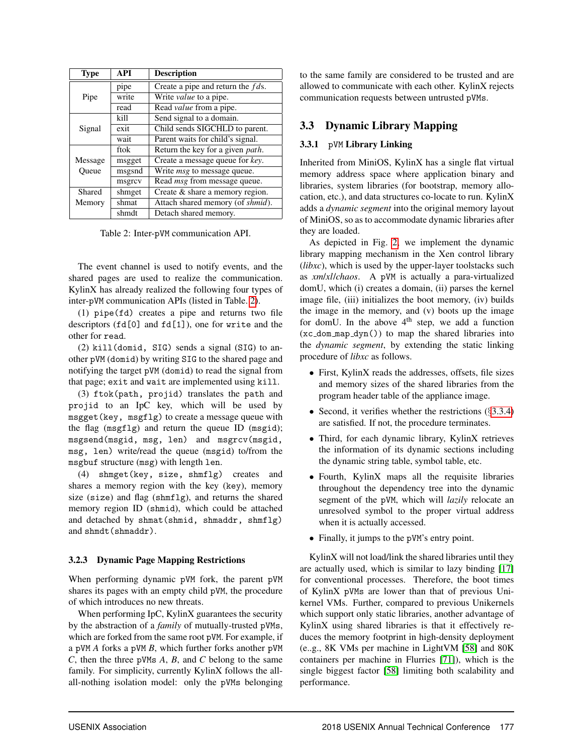| <b>Type</b> | <b>API</b> | <b>Description</b>                   |  |  |
|-------------|------------|--------------------------------------|--|--|
|             | pipe       | Create a pipe and return the $fds$ . |  |  |
| Pipe        | write      | Write <i>value</i> to a pipe.        |  |  |
|             | read       | Read <i>value</i> from a pipe.       |  |  |
|             | kill       | Send signal to a domain.             |  |  |
| Signal      | exit       | Child sends SIGCHLD to parent.       |  |  |
|             | wait       | Parent waits for child's signal.     |  |  |
|             | ftok       | Return the key for a given path.     |  |  |
| Message     | msgget     | Create a message queue for key.      |  |  |
| Oueue       | msgsnd     | Write <i>msg</i> to message queue.   |  |  |
|             | msgrcv     | Read <i>msg</i> from message queue.  |  |  |
| Shared      | shmget     | Create & share a memory region.      |  |  |
| Memory      | shmat      | Attach shared memory (of shmid).     |  |  |
|             | shmdt      | Detach shared memory.                |  |  |

Table 2: Inter-pVM communication API.

The event channel is used to notify events, and the shared pages are used to realize the communication. KylinX has already realized the following four types of inter-pVM communication APIs (listed in Table. 2).

(1) pipe(fd) creates a pipe and returns two file descriptors (fd[0] and fd[1]), one for write and the other for read.

(2) kill(domid, SIG) sends a signal (SIG) to another pVM (domid) by writing SIG to the shared page and notifying the target pVM (domid) to read the signal from that page; exit and wait are implemented using kill.

(3) ftok(path, projid) translates the path and projid to an IpC key, which will be used by msgget(key, msgflg) to create a message queue with the flag (msgflg) and return the queue ID (msgid); msgsend(msgid, msg, len) and msgrcv(msgid, msg, len) write/read the queue (msgid) to/from the msgbuf structure (msg) with length len.

(4) shmget(key, size, shmflg) creates and shares a memory region with the key (key), memory size (size) and flag (shmflg), and returns the shared memory region ID (shmid), which could be attached and detached by shmat(shmid, shmaddr, shmflg) and shmdt(shmaddr).

## 3.2.3 Dynamic Page Mapping Restrictions

When performing dynamic pVM fork, the parent pVM shares its pages with an empty child pVM, the procedure of which introduces no new threats.

When performing IpC, KylinX guarantees the security by the abstraction of a *family* of mutually-trusted pVMs, which are forked from the same root pVM. For example, if a pVM *A* forks a pVM *B*, which further forks another pVM *C*, then the three pVMs *A*, *B*, and *C* belong to the same family. For simplicity, currently KylinX follows the allall-nothing isolation model: only the pVMs belonging to the same family are considered to be trusted and are allowed to communicate with each other. KylinX rejects communication requests between untrusted pVMs.

# 3.3 Dynamic Library Mapping

## 3.3.1 pVM Library Linking

Inherited from MiniOS, KylinX has a single flat virtual memory address space where application binary and libraries, system libraries (for bootstrap, memory allocation, etc.), and data structures co-locate to run. KylinX adds a *dynamic segment* into the original memory layout of MiniOS, so as to accommodate dynamic libraries after they are loaded.

As depicted in Fig. 2, we implement the dynamic library mapping mechanism in the Xen control library (*libxc*), which is used by the upper-layer toolstacks such as *xm*/*xl*/*chaos*. A pVM is actually a para-virtualized domU, which (i) creates a domain, (ii) parses the kernel image file, (iii) initializes the boot memory, (iv) builds the image in the memory, and (v) boots up the image for domU. In the above  $4<sup>th</sup>$  step, we add a function  $(xc_dom_map_dyn() )$  to map the shared libraries into the *dynamic segment*, by extending the static linking procedure of *libxc* as follows.

- First, KylinX reads the addresses, offsets, file sizes and memory sizes of the shared libraries from the program header table of the appliance image.
- Second, it verifies whether the restrictions  $(\S 3.3.4)$ are satisfied. If not, the procedure terminates.
- Third, for each dynamic library, KylinX retrieves the information of its dynamic sections including the dynamic string table, symbol table, etc.
- Fourth, KylinX maps all the requisite libraries throughout the dependency tree into the dynamic segment of the pVM, which will *lazily* relocate an unresolved symbol to the proper virtual address when it is actually accessed.
- Finally, it jumps to the pVM's entry point.

KylinX will not load/link the shared libraries until they are actually used, which is similar to lazy binding [17] for conventional processes. Therefore, the boot times of KylinX pVMs are lower than that of previous Unikernel VMs. Further, compared to previous Unikernels which support only static libraries, another advantage of KylinX using shared libraries is that it effectively reduces the memory footprint in high-density deployment (e..g., 8K VMs per machine in LightVM [58] and 80K containers per machine in Flurries [71]), which is the single biggest factor [58] limiting both scalability and performance.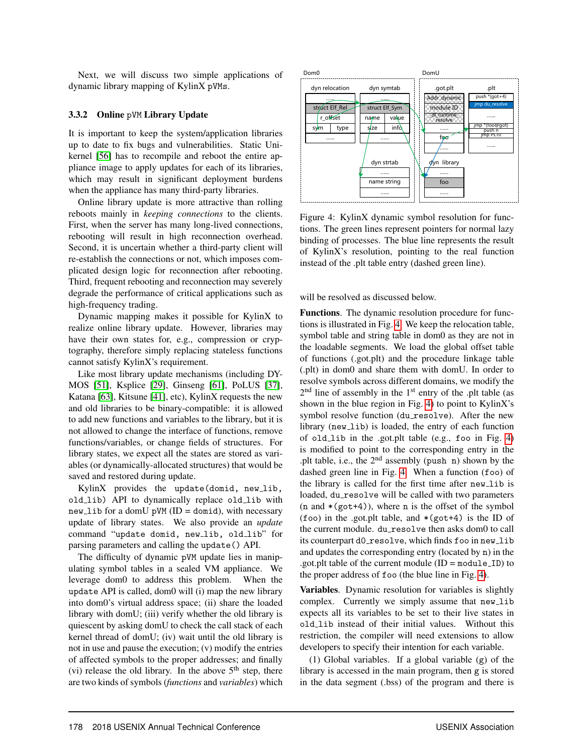Next, we will discuss two simple applications of dynamic library mapping of KylinX pVMs.

#### 3.3.2 Online pVM Library Update

It is important to keep the system/application libraries up to date to fix bugs and vulnerabilities. Static Unikernel [56] has to recompile and reboot the entire appliance image to apply updates for each of its libraries, which may result in significant deployment burdens when the appliance has many third-party libraries.

Online library update is more attractive than rolling reboots mainly in *keeping connections* to the clients. First, when the server has many long-lived connections, rebooting will result in high reconnection overhead. Second, it is uncertain whether a third-party client will re-establish the connections or not, which imposes complicated design logic for reconnection after rebooting. Third, frequent rebooting and reconnection may severely degrade the performance of critical applications such as high-frequency trading.

Dynamic mapping makes it possible for KylinX to realize online library update. However, libraries may have their own states for, e.g., compression or cryptography, therefore simply replacing stateless functions cannot satisfy KylinX's requirement.

Like most library update mechanisms (including DY-MOS [51], Ksplice [29], Ginseng [61], PoLUS [37], Katana [63], Kitsune [41], etc), KylinX requests the new and old libraries to be binary-compatible: it is allowed to add new functions and variables to the library, but it is not allowed to change the interface of functions, remove functions/variables, or change fields of structures. For library states, we expect all the states are stored as variables (or dynamically-allocated structures) that would be saved and restored during update.

KylinX provides the update(domid, new\_lib, old lib) API to dynamically replace old lib with  $new\_lib$  for a domU pVM (ID = domid), with necessary update of library states. We also provide an *update* command "update domid, new\_lib, old\_lib" for parsing parameters and calling the update() API.

The difficulty of dynamic pVM update lies in manipulating symbol tables in a sealed VM appliance. We leverage dom0 to address this problem. When the update API is called, dom0 will (i) map the new library into dom0's virtual address space; (ii) share the loaded library with domU; (iii) verify whether the old library is quiescent by asking domU to check the call stack of each kernel thread of domU; (iv) wait until the old library is not in use and pause the execution; (v) modify the entries of affected symbols to the proper addresses; and finally (vi) release the old library. In the above  $5<sup>th</sup>$  step, there are two kinds of symbols (*functions* and *variables*) which



Figure 4: KylinX dynamic symbol resolution for functions. The green lines represent pointers for normal lazy binding of processes. The blue line represents the result of KylinX's resolution, pointing to the real function instead of the .plt table entry (dashed green line).

will be resolved as discussed below.

Functions. The dynamic resolution procedure for functions is illustrated in Fig. 4. We keep the relocation table, symbol table and string table in dom0 as they are not in the loadable segments. We load the global offset table of functions (.got.plt) and the procedure linkage table (.plt) in dom0 and share them with domU. In order to resolve symbols across different domains, we modify the 2<sup>nd</sup> line of assembly in the 1<sup>st</sup> entry of the .plt table (as shown in the blue region in Fig. 4) to point to KylinX's symbol resolve function (du resolve). After the new library (new lib) is loaded, the entry of each function of old lib in the .got.plt table (e.g., foo in Fig. 4) is modified to point to the corresponding entry in the .plt table, i.e., the 2nd assembly (push n) shown by the dashed green line in Fig. 4. When a function (foo) of the library is called for the first time after new\_lib is loaded, du\_resolve will be called with two parameters  $(n \text{ and } * (g \text{ot}+4))$ , where n is the offset of the symbol (foo) in the .got.plt table, and  $*(got+4)$  is the ID of the current module. du\_resolve then asks dom0 to call its counterpart d0\_resolve, which finds foo in new\_lib and updates the corresponding entry (located by n) in the .got.plt table of the current module  $(ID = moduleID)$  to the proper address of foo (the blue line in Fig. 4).

Variables. Dynamic resolution for variables is slightly complex. Currently we simply assume that new\_lib expects all its variables to be set to their live states in old lib instead of their initial values. Without this restriction, the compiler will need extensions to allow developers to specify their intention for each variable.

(1) Global variables. If a global variable (g) of the library is accessed in the main program, then g is stored in the data segment (.bss) of the program and there is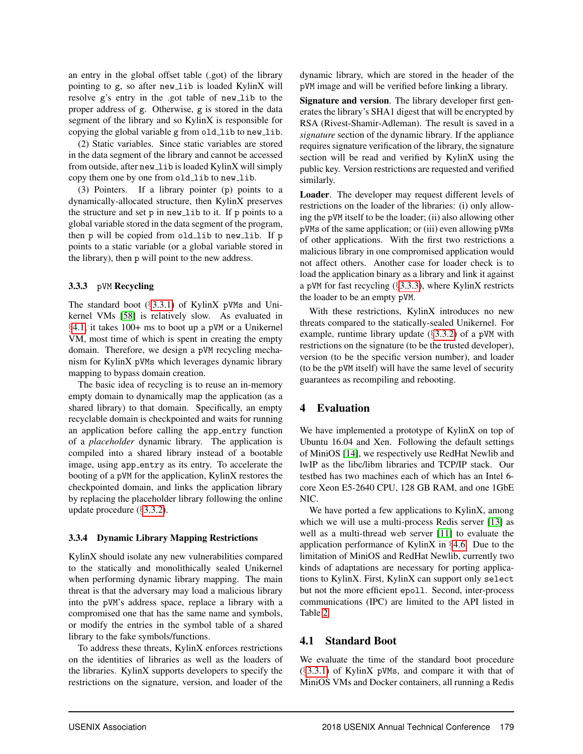an entry in the global offset table (.got) of the library pointing to g, so after new\_lib is loaded KylinX will resolve g's entry in the .got table of new lib to the proper address of g. Otherwise, g is stored in the data segment of the library and so KylinX is responsible for copying the global variable g from old lib to new lib.

(2) Static variables. Since static variables are stored in the data segment of the library and cannot be accessed from outside, after new\_lib is loaded KylinX will simply copy them one by one from old\_lib to new\_lib.

(3) Pointers. If a library pointer (p) points to a dynamically-allocated structure, then KylinX preserves the structure and set p in new lib to it. If p points to a global variable stored in the data segment of the program, then p will be copied from old\_lib to new\_lib. If p points to a static variable (or a global variable stored in the library), then p will point to the new address.

#### 3.3.3 pVM Recycling

The standard boot  $(\S 3.3.1)$  of KylinX pVMs and Unikernel VMs [58] is relatively slow. As evaluated in §4.1, it takes 100+ ms to boot up a pVM or a Unikernel VM, most time of which is spent in creating the empty domain. Therefore, we design a pVM recycling mechanism for KylinX pVMs which leverages dynamic library mapping to bypass domain creation.

The basic idea of recycling is to reuse an in-memory empty domain to dynamically map the application (as a shared library) to that domain. Specifically, an empty recyclable domain is checkpointed and waits for running an application before calling the app entry function of a *placeholder* dynamic library. The application is compiled into a shared library instead of a bootable image, using app entry as its entry. To accelerate the booting of a pVM for the application, KylinX restores the checkpointed domain, and links the application library by replacing the placeholder library following the online update procedure (§3.3.2).

#### 3.3.4 Dynamic Library Mapping Restrictions

KylinX should isolate any new vulnerabilities compared to the statically and monolithically sealed Unikernel when performing dynamic library mapping. The main threat is that the adversary may load a malicious library into the pVM's address space, replace a library with a compromised one that has the same name and symbols, or modify the entries in the symbol table of a shared library to the fake symbols/functions.

To address these threats, KylinX enforces restrictions on the identities of libraries as well as the loaders of the libraries. KylinX supports developers to specify the restrictions on the signature, version, and loader of the dynamic library, which are stored in the header of the pVM image and will be verified before linking a library.

Signature and version. The library developer first generates the library's SHA1 digest that will be encrypted by RSA (Rivest-Shamir-Adleman). The result is saved in a *signature* section of the dynamic library. If the appliance requires signature verification of the library, the signature section will be read and verified by KylinX using the public key. Version restrictions are requested and verified similarly.

Loader. The developer may request different levels of restrictions on the loader of the libraries: (i) only allowing the pVM itself to be the loader; (ii) also allowing other pVMs of the same application; or (iii) even allowing pVMs of other applications. With the first two restrictions a malicious library in one compromised application would not affect others. Another case for loader check is to load the application binary as a library and link it against a pVM for fast recycling  $(\S 3.3.3)$ , where KylinX restricts the loader to be an empty pVM.

With these restrictions, KylinX introduces no new threats compared to the statically-sealed Unikernel. For example, runtime library update  $(\S 3.3.2)$  of a pVM with restrictions on the signature (to be the trusted developer), version (to be the specific version number), and loader (to be the pVM itself) will have the same level of security guarantees as recompiling and rebooting.

## 4 Evaluation

We have implemented a prototype of KylinX on top of Ubuntu 16.04 and Xen. Following the default settings of MiniOS [14], we respectively use RedHat Newlib and lwIP as the libc/libm libraries and TCP/IP stack. Our testbed has two machines each of which has an Intel 6 core Xeon E5-2640 CPU, 128 GB RAM, and one 1GbE NIC.

We have ported a few applications to KylinX, among which we will use a multi-process Redis server [13] as well as a multi-thread web server [11] to evaluate the application performance of KylinX in §4.6. Due to the limitation of MiniOS and RedHat Newlib, currently two kinds of adaptations are necessary for porting applications to KylinX. First, KylinX can support only select but not the more efficient epoll. Second, inter-process communications (IPC) are limited to the API listed in Table 2.

## 4.1 Standard Boot

We evaluate the time of the standard boot procedure (§3.3.1) of KylinX pVMs, and compare it with that of MiniOS VMs and Docker containers, all running a Redis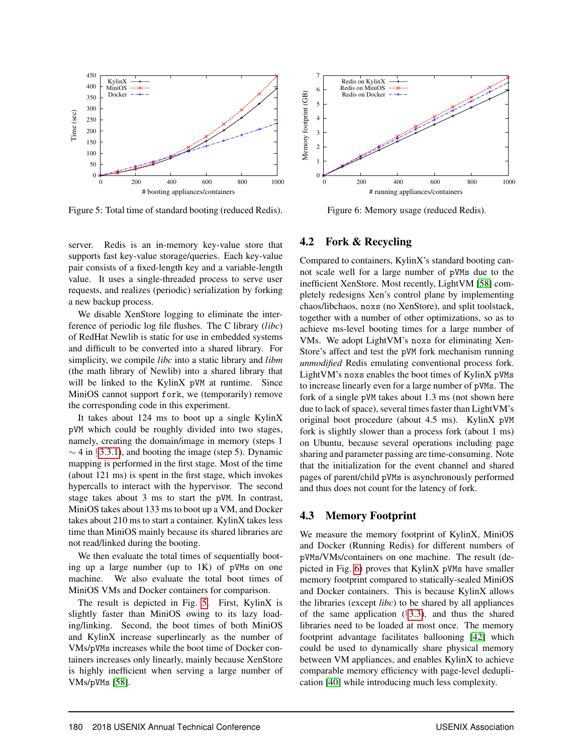

Figure 5: Total time of standard booting (reduced Redis).



We disable XenStore logging to eliminate the interference of periodic log file flushes. The C library (*libc*) of RedHat Newlib is static for use in embedded systems and difficult to be converted into a shared library. For simplicity, we compile *libc* into a static library and *libm* (the math library of Newlib) into a shared library that will be linked to the KylinX pVM at runtime. Since MiniOS cannot support fork, we (temporarily) remove the corresponding code in this experiment.

It takes about 124 ms to boot up a single KylinX pVM which could be roughly divided into two stages, namely, creating the domain/image in memory (steps 1  $\sim$  4 in §3.3.1), and booting the image (step 5). Dynamic mapping is performed in the first stage. Most of the time (about 121 ms) is spent in the first stage, which invokes hypercalls to interact with the hypervisor. The second stage takes about 3 ms to start the pVM. In contrast, MiniOS takes about 133 ms to boot up a VM, and Docker takes about 210 ms to start a container. KylinX takes less time than MiniOS mainly because its shared libraries are not read/linked during the booting.

We then evaluate the total times of sequentially booting up a large number (up to  $1K$ ) of pVMs on one machine. We also evaluate the total boot times of MiniOS VMs and Docker containers for comparison.

The result is depicted in Fig. 5. First, KylinX is slightly faster than MiniOS owing to its lazy loading/linking. Second, the boot times of both MiniOS and KylinX increase superlinearly as the number of VMs/pVMs increases while the boot time of Docker containers increases only linearly, mainly because XenStore is highly inefficient when serving a large number of VMs/pVMs [58].



Figure 6: Memory usage (reduced Redis).

#### 4.2 Fork & Recycling

Compared to containers, KylinX's standard booting cannot scale well for a large number of pVMs due to the inefficient XenStore. Most recently, LightVM [58] completely redesigns Xen's control plane by implementing chaos/libchaos, noxs (no XenStore), and split toolstack, together with a number of other optimizations, so as to achieve ms-level booting times for a large number of VMs. We adopt LightVM's noxs for eliminating Xen-Store's affect and test the pVM fork mechanism running *unmodified* Redis emulating conventional process fork. LightVM's noxs enables the boot times of KylinX pVMs to increase linearly even for a large number of pVMs. The fork of a single pVM takes about 1.3 ms (not shown here due to lack of space), several times faster than LightVM's original boot procedure (about 4.5 ms). KylinX pVM fork is slightly slower than a process fork (about 1 ms) on Ubuntu, because several operations including page sharing and parameter passing are time-consuming. Note that the initialization for the event channel and shared pages of parent/child pVMs is asynchronously performed and thus does not count for the latency of fork.

#### 4.3 Memory Footprint

We measure the memory footprint of KylinX, MiniOS and Docker (Running Redis) for different numbers of pVMs/VMs/containers on one machine. The result (depicted in Fig. 6) proves that KylinX pVMs have smaller memory footprint compared to statically-sealed MiniOS and Docker containers. This is because KylinX allows the libraries (except *libc*) to be shared by all appliances of the same application  $(\S3.3)$ , and thus the shared libraries need to be loaded at most once. The memory footprint advantage facilitates ballooning [42] which could be used to dynamically share physical memory between VM appliances, and enables KylinX to achieve comparable memory efficiency with page-level deduplication [40] while introducing much less complexity.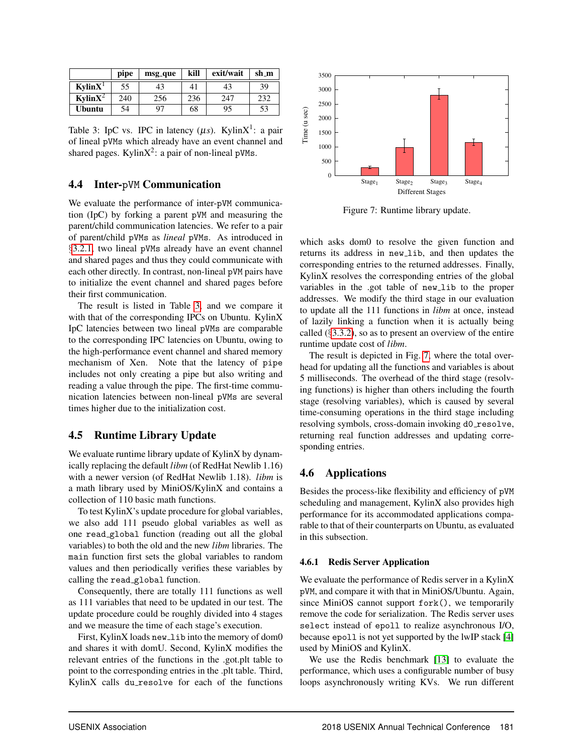|                     | pipe | msg <sub>-que</sub> | kill | exit/wait | sh_m |
|---------------------|------|---------------------|------|-----------|------|
| KvlinX <sup>1</sup> | 55   | 43                  | 41   | 43        | 39   |
| Kylin $X^2$         | 240  | 256                 | 236  | 247       | 232  |
| <b>Ubuntu</b>       | 54   | 97                  | 68   | 95        | 53   |

Table 3: IpC vs. IPC in latency  $(\mu s)$ . KylinX<sup>1</sup>: a pair of lineal pVMs which already have an event channel and shared pages. Kylin $X^2$ : a pair of non-lineal pVMs.

## 4.4 Inter-pVM Communication

We evaluate the performance of inter-pVM communication (IpC) by forking a parent pVM and measuring the parent/child communication latencies. We refer to a pair of parent/child pVMs as *lineal* pVMs. As introduced in §3.2.1, two lineal pVMs already have an event channel and shared pages and thus they could communicate with each other directly. In contrast, non-lineal pVM pairs have to initialize the event channel and shared pages before their first communication.

The result is listed in Table 3, and we compare it with that of the corresponding IPCs on Ubuntu. KylinX IpC latencies between two lineal pVMs are comparable to the corresponding IPC latencies on Ubuntu, owing to the high-performance event channel and shared memory mechanism of Xen. Note that the latency of pipe includes not only creating a pipe but also writing and reading a value through the pipe. The first-time communication latencies between non-lineal pVMs are several times higher due to the initialization cost.

## 4.5 Runtime Library Update

We evaluate runtime library update of KylinX by dynamically replacing the default *libm* (of RedHat Newlib 1.16) with a newer version (of RedHat Newlib 1.18). *libm* is a math library used by MiniOS/KylinX and contains a collection of 110 basic math functions.

To test KylinX's update procedure for global variables, we also add 111 pseudo global variables as well as one read global function (reading out all the global variables) to both the old and the new *libm* libraries. The main function first sets the global variables to random values and then periodically verifies these variables by calling the read global function.

Consequently, there are totally 111 functions as well as 111 variables that need to be updated in our test. The update procedure could be roughly divided into 4 stages and we measure the time of each stage's execution.

First, KylinX loads new\_lib into the memory of dom0 and shares it with domU. Second, KylinX modifies the relevant entries of the functions in the .got.plt table to point to the corresponding entries in the .plt table. Third, KylinX calls du resolve for each of the functions



Figure 7: Runtime library update.

which asks dom0 to resolve the given function and returns its address in new lib, and then updates the corresponding entries to the returned addresses. Finally, KylinX resolves the corresponding entries of the global variables in the .got table of new\_lib to the proper addresses. We modify the third stage in our evaluation to update all the 111 functions in *libm* at once, instead of lazily linking a function when it is actually being called  $(\S 3.3.2)$ , so as to present an overview of the entire runtime update cost of *libm*.

The result is depicted in Fig. 7, where the total overhead for updating all the functions and variables is about 5 milliseconds. The overhead of the third stage (resolving functions) is higher than others including the fourth stage (resolving variables), which is caused by several time-consuming operations in the third stage including resolving symbols, cross-domain invoking d0\_resolve, returning real function addresses and updating corresponding entries.

## 4.6 Applications

Besides the process-like flexibility and efficiency of pVM scheduling and management, KylinX also provides high performance for its accommodated applications comparable to that of their counterparts on Ubuntu, as evaluated in this subsection.

#### 4.6.1 Redis Server Application

We evaluate the performance of Redis server in a KylinX pVM, and compare it with that in MiniOS/Ubuntu. Again, since MiniOS cannot support fork(), we temporarily remove the code for serialization. The Redis server uses select instead of epoll to realize asynchronous I/O, because epoll is not yet supported by the lwIP stack [4] used by MiniOS and KylinX.

We use the Redis benchmark [13] to evaluate the performance, which uses a configurable number of busy loops asynchronously writing KVs. We run different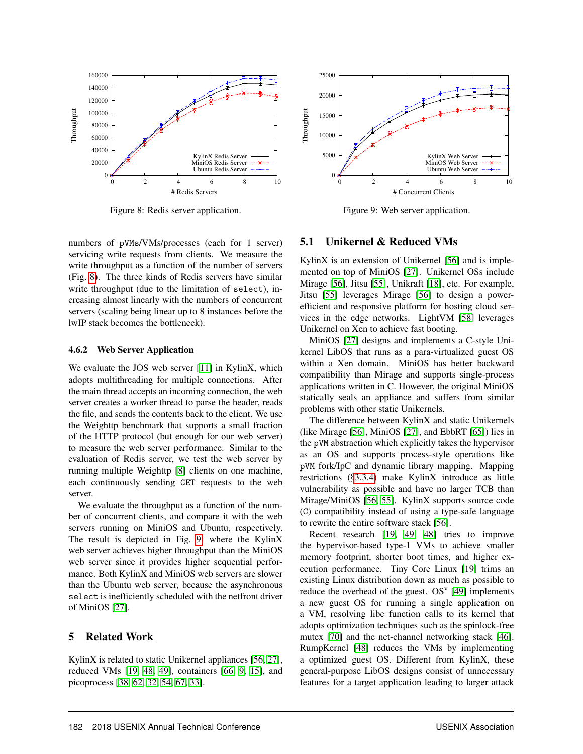

Figure 8: Redis server application.



#### 4.6.2 Web Server Application

We evaluate the JOS web server [11] in KylinX, which adopts multithreading for multiple connections. After the main thread accepts an incoming connection, the web server creates a worker thread to parse the header, reads the file, and sends the contents back to the client. We use the Weighttp benchmark that supports a small fraction of the HTTP protocol (but enough for our web server) to measure the web server performance. Similar to the evaluation of Redis server, we test the web server by running multiple Weighttp [8] clients on one machine, each continuously sending GET requests to the web server.

We evaluate the throughput as a function of the number of concurrent clients, and compare it with the web servers running on MiniOS and Ubuntu, respectively. The result is depicted in Fig. 9, where the KylinX web server achieves higher throughput than the MiniOS web server since it provides higher sequential performance. Both KylinX and MiniOS web servers are slower than the Ubuntu web server, because the asynchronous select is inefficiently scheduled with the netfront driver of MiniOS [27].

#### 5 Related Work

KylinX is related to static Unikernel appliances [56, 27], reduced VMs [19, 48, 49], containers [66, 9, 15], and picoprocess [38, 62, 32, 54, 67, 33].



Figure 9: Web server application.

#### 5.1 Unikernel & Reduced VMs

KylinX is an extension of Unikernel [56] and is implemented on top of MiniOS [27]. Unikernel OSs include Mirage [56], Jitsu [55], Unikraft [18], etc. For example, Jitsu [55] leverages Mirage [56] to design a powerefficient and responsive platform for hosting cloud services in the edge networks. LightVM [58] leverages Unikernel on Xen to achieve fast booting.

MiniOS [27] designs and implements a C-style Unikernel LibOS that runs as a para-virtualized guest OS within a Xen domain. MiniOS has better backward compatibility than Mirage and supports single-process applications written in C. However, the original MiniOS statically seals an appliance and suffers from similar problems with other static Unikernels.

The difference between KylinX and static Unikernels (like Mirage [56], MiniOS [27], and EbbRT [65]) lies in the pVM abstraction which explicitly takes the hypervisor as an OS and supports process-style operations like pVM fork/IpC and dynamic library mapping. Mapping restrictions (§3.3.4) make KylinX introduce as little vulnerability as possible and have no larger TCB than Mirage/MiniOS [56, 55]. KylinX supports source code (C) compatibility instead of using a type-safe language to rewrite the entire software stack [56].

Recent research [19, 49, 48] tries to improve the hypervisor-based type-1 VMs to achieve smaller memory footprint, shorter boot times, and higher execution performance. Tiny Core Linux [19] trims an existing Linux distribution down as much as possible to reduce the overhead of the guest.  $OS<sup>v</sup>$  [49] implements a new guest OS for running a single application on a VM, resolving libc function calls to its kernel that adopts optimization techniques such as the spinlock-free mutex [70] and the net-channel networking stack [46]. RumpKernel [48] reduces the VMs by implementing a optimized guest OS. Different from KylinX, these general-purpose LibOS designs consist of unnecessary features for a target application leading to larger attack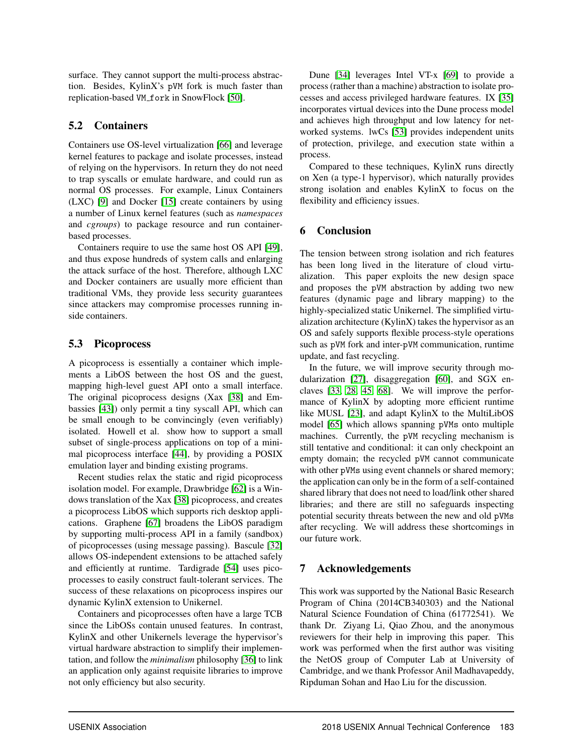surface. They cannot support the multi-process abstraction. Besides, KylinX's pVM fork is much faster than replication-based VM\_fork in SnowFlock [50].

## 5.2 Containers

Containers use OS-level virtualization [66] and leverage kernel features to package and isolate processes, instead of relying on the hypervisors. In return they do not need to trap syscalls or emulate hardware, and could run as normal OS processes. For example, Linux Containers (LXC) [9] and Docker [15] create containers by using a number of Linux kernel features (such as *namespaces* and *cgroups*) to package resource and run containerbased processes.

Containers require to use the same host OS API [49], and thus expose hundreds of system calls and enlarging the attack surface of the host. Therefore, although LXC and Docker containers are usually more efficient than traditional VMs, they provide less security guarantees since attackers may compromise processes running inside containers.

## 5.3 Picoprocess

A picoprocess is essentially a container which implements a LibOS between the host OS and the guest, mapping high-level guest API onto a small interface. The original picoprocess designs (Xax [38] and Embassies [43]) only permit a tiny syscall API, which can be small enough to be convincingly (even verifiably) isolated. Howell et al. show how to support a small subset of single-process applications on top of a minimal picoprocess interface [44], by providing a POSIX emulation layer and binding existing programs.

Recent studies relax the static and rigid picoprocess isolation model. For example, Drawbridge [62] is a Windows translation of the Xax [38] picoprocess, and creates a picoprocess LibOS which supports rich desktop applications. Graphene [67] broadens the LibOS paradigm by supporting multi-process API in a family (sandbox) of picoprocesses (using message passing). Bascule [32] allows OS-independent extensions to be attached safely and efficiently at runtime. Tardigrade [54] uses picoprocesses to easily construct fault-tolerant services. The success of these relaxations on picoprocess inspires our dynamic KylinX extension to Unikernel.

Containers and picoprocesses often have a large TCB since the LibOSs contain unused features. In contrast, KylinX and other Unikernels leverage the hypervisor's virtual hardware abstraction to simplify their implementation, and follow the *minimalism* philosophy [36] to link an application only against requisite libraries to improve not only efficiency but also security.

Dune [34] leverages Intel VT-x [69] to provide a process (rather than a machine) abstraction to isolate processes and access privileged hardware features. IX [35] incorporates virtual devices into the Dune process model and achieves high throughput and low latency for networked systems. lwCs [53] provides independent units of protection, privilege, and execution state within a process.

Compared to these techniques, KylinX runs directly on Xen (a type-1 hypervisor), which naturally provides strong isolation and enables KylinX to focus on the flexibility and efficiency issues.

# 6 Conclusion

The tension between strong isolation and rich features has been long lived in the literature of cloud virtualization. This paper exploits the new design space and proposes the pVM abstraction by adding two new features (dynamic page and library mapping) to the highly-specialized static Unikernel. The simplified virtualization architecture (KylinX) takes the hypervisor as an OS and safely supports flexible process-style operations such as pVM fork and inter-pVM communication, runtime update, and fast recycling.

In the future, we will improve security through modularization [27], disaggregation [60], and SGX enclaves [33, 28, 45, 68]. We will improve the performance of KylinX by adopting more efficient runtime like MUSL [23], and adapt KylinX to the MultiLibOS model [65] which allows spanning pVMs onto multiple machines. Currently, the pVM recycling mechanism is still tentative and conditional: it can only checkpoint an empty domain; the recycled pVM cannot communicate with other pVMs using event channels or shared memory; the application can only be in the form of a self-contained shared library that does not need to load/link other shared libraries; and there are still no safeguards inspecting potential security threats between the new and old pVMs after recycling. We will address these shortcomings in our future work.

## 7 Acknowledgements

This work was supported by the National Basic Research Program of China (2014CB340303) and the National Natural Science Foundation of China (61772541). We thank Dr. Ziyang Li, Qiao Zhou, and the anonymous reviewers for their help in improving this paper. This work was performed when the first author was visiting the NetOS group of Computer Lab at University of Cambridge, and we thank Professor Anil Madhavapeddy, Ripduman Sohan and Hao Liu for the discussion.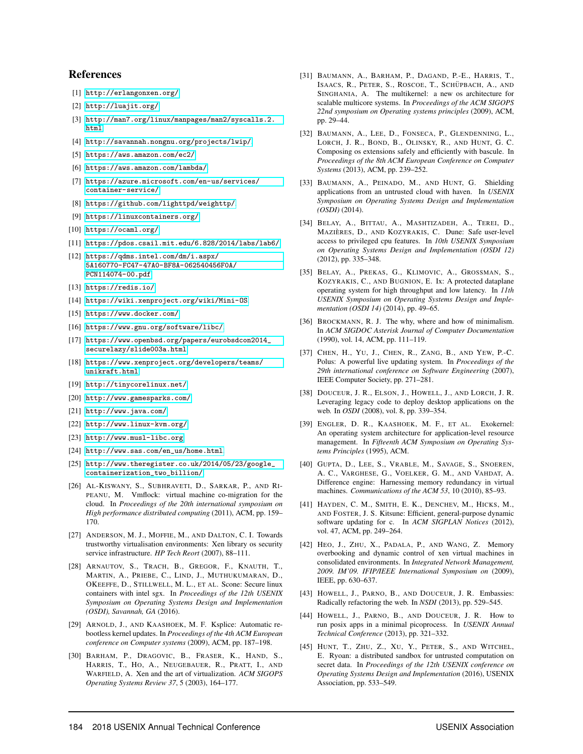#### References

- [1] <http://erlangonxen.org/>.
- [2] <http://luajit.org/>.
- [3] [http://man7.org/linux/manpages/man2/syscalls.2.](http://man7.org/linux/manpages/man2/syscalls.2.html) [html](http://man7.org/linux/manpages/man2/syscalls.2.html).
- [4] <http://savannah.nongnu.org/projects/lwip/>.
- [5] <https://aws.amazon.com/ec2/>.
- [6] <https://aws.amazon.com/lambda/>.
- [7] [https://azure.microsoft.com/en-us/services/](https://azure.microsoft.com/en-us/services/container-service/) [container-service/](https://azure.microsoft.com/en-us/services/container-service/).
- [8] <https://github.com/lighttpd/weighttp/>.
- [9] <https://linuxcontainers.org/>.
- [10] <https://ocaml.org/>.
- [11] <https://pdos.csail.mit.edu/6.828/2014/labs/lab6/>.
- [12] [https://qdms.intel.com/dm/i.aspx/](https://qdms.intel.com/dm/i.aspx/5A160770-FC47-47A0-BF8A-062540456F0A/PCN114074-00.pdf) [5A160770-FC47-47A0-BF8A-062540456F0A/](https://qdms.intel.com/dm/i.aspx/5A160770-FC47-47A0-BF8A-062540456F0A/PCN114074-00.pdf) [PCN114074-00.pdf](https://qdms.intel.com/dm/i.aspx/5A160770-FC47-47A0-BF8A-062540456F0A/PCN114074-00.pdf).
- [13] <https://redis.io/>.
- [14] <https://wiki.xenproject.org/wiki/Mini-OS>.
- [15] <https://www.docker.com/>.
- [16] <https://www.gnu.org/software/libc/>.
- [17] [https://www.openbsd.org/papers/eurobsdcon2014\\_](https://www.openbsd.org/papers/eurobsdcon2014_securelazy/slide003a.html) [securelazy/slide003a.html](https://www.openbsd.org/papers/eurobsdcon2014_securelazy/slide003a.html).
- [18] [https://www.xenproject.org/developers/teams/](https://www.xenproject.org/developers/teams/unikraft.html) [unikraft.html](https://www.xenproject.org/developers/teams/unikraft.html).
- [19] [http://tinycorelinux.net/](http://tinycorelinux.net/ ).
- [20] <http://www.gamesparks.com/>.
- [21] <http://www.java.com/>.
- [22] <http://www.linux-kvm.org/>.
- [23] <http://www.musl-libc.org>.
- [24] [http://www.sas.com/en\\_us/home.html](http://www.sas.com/en_us/home.html).
- [25] [http://www.theregister.co.uk/2014/05/23/google\\_](http://www.theregister.co.uk/2014/05/23/google_containerization_two_billion/) [containerization\\_two\\_billion/](http://www.theregister.co.uk/2014/05/23/google_containerization_two_billion/).
- [26] AL-KISWANY, S., SUBHRAVETI, D., SARKAR, P., AND RI-PEANU, M. Vmflock: virtual machine co-migration for the cloud. In *Proceedings of the 20th international symposium on High performance distributed computing* (2011), ACM, pp. 159– 170.
- [27] ANDERSON, M. J., MOFFIE, M., AND DALTON, C. I. Towards trustworthy virtualisation environments: Xen library os security service infrastructure. *HP Tech Reort* (2007), 88–111.
- [28] ARNAUTOV, S., TRACH, B., GREGOR, F., KNAUTH, T., MARTIN, A., PRIEBE, C., LIND, J., MUTHUKUMARAN, D., OKEEFFE, D., STILLWELL, M. L., ET AL. Scone: Secure linux containers with intel sgx. In *Proceedings of the 12th USENIX Symposium on Operating Systems Design and Implementation (OSDI), Savannah, GA* (2016).
- [29] ARNOLD, J., AND KAASHOEK, M. F. Ksplice: Automatic rebootless kernel updates. In *Proceedings of the 4th ACM European conference on Computer systems* (2009), ACM, pp. 187–198.
- [30] BARHAM, P., DRAGOVIC, B., FRASER, K., HAND, S., HARRIS, T., HO, A., NEUGEBAUER, R., PRATT, I., AND WARFIELD, A. Xen and the art of virtualization. *ACM SIGOPS Operating Systems Review 37*, 5 (2003), 164–177.
- [31] BAUMANN, A., BARHAM, P., DAGAND, P.-E., HARRIS, T., ISAACS, R., PETER, S., ROSCOE, T., SCHÜPBACH, A., AND SINGHANIA, A. The multikernel: a new os architecture for scalable multicore systems. In *Proceedings of the ACM SIGOPS 22nd symposium on Operating systems principles* (2009), ACM, pp. 29–44.
- [32] BAUMANN, A., LEE, D., FONSECA, P., GLENDENNING, L., LORCH, J. R., BOND, B., OLINSKY, R., AND HUNT, G. C. Composing os extensions safely and efficiently with bascule. In *Proceedings of the 8th ACM European Conference on Computer Systems* (2013), ACM, pp. 239–252.
- [33] BAUMANN, A., PEINADO, M., AND HUNT, G. Shielding applications from an untrusted cloud with haven. In *USENIX Symposium on Operating Systems Design and Implementation (OSDI)* (2014).
- [34] BELAY, A., BITTAU, A., MASHTIZADEH, A., TEREI, D., MAZIÈRES, D., AND KOZYRAKIS, C. Dune: Safe user-level access to privileged cpu features. In *10th USENIX Symposium on Operating Systems Design and Implementation (OSDI 12)* (2012), pp. 335–348.
- [35] BELAY, A., PREKAS, G., KLIMOVIC, A., GROSSMAN, S., KOZYRAKIS, C., AND BUGNION, E. Ix: A protected dataplane operating system for high throughput and low latency. In *11th USENIX Symposium on Operating Systems Design and Implementation (OSDI 14)* (2014), pp. 49–65.
- [36] BROCKMANN, R. J. The why, where and how of minimalism. In *ACM SIGDOC Asterisk Journal of Computer Documentation* (1990), vol. 14, ACM, pp. 111–119.
- [37] CHEN, H., YU, J., CHEN, R., ZANG, B., AND YEW, P.-C. Polus: A powerful live updating system. In *Proceedings of the 29th international conference on Software Engineering* (2007), IEEE Computer Society, pp. 271–281.
- [38] DOUCEUR, J. R., ELSON, J., HOWELL, J., AND LORCH, J. R. Leveraging legacy code to deploy desktop applications on the web. In *OSDI* (2008), vol. 8, pp. 339–354.
- [39] ENGLER, D. R., KAASHOEK, M. F., ET AL. Exokernel: An operating system architecture for application-level resource management. In *Fifteenth ACM Symposium on Operating Systems Principles* (1995), ACM.
- [40] GUPTA, D., LEE, S., VRABLE, M., SAVAGE, S., SNOEREN, A. C., VARGHESE, G., VOELKER, G. M., AND VAHDAT, A. Difference engine: Harnessing memory redundancy in virtual machines. *Communications of the ACM 53*, 10 (2010), 85–93.
- [41] HAYDEN, C. M., SMITH, E. K., DENCHEV, M., HICKS, M., AND FOSTER, J. S. Kitsune: Efficient, general-purpose dynamic software updating for c. In *ACM SIGPLAN Notices* (2012), vol. 47, ACM, pp. 249–264.
- [42] HEO, J., ZHU, X., PADALA, P., AND WANG, Z. Memory overbooking and dynamic control of xen virtual machines in consolidated environments. In *Integrated Network Management, 2009. IM'09. IFIP/IEEE International Symposium on* (2009), IEEE, pp. 630–637.
- [43] HOWELL, J., PARNO, B., AND DOUCEUR, J. R. Embassies: Radically refactoring the web. In *NSDI* (2013), pp. 529–545.
- [44] HOWELL, J., PARNO, B., AND DOUCEUR, J. R. How to run posix apps in a minimal picoprocess. In *USENIX Annual Technical Conference* (2013), pp. 321–332.
- [45] HUNT, T., ZHU, Z., XU, Y., PETER, S., AND WITCHEL, E. Ryoan: a distributed sandbox for untrusted computation on secret data. In *Proceedings of the 12th USENIX conference on Operating Systems Design and Implementation* (2016), USENIX Association, pp. 533–549.